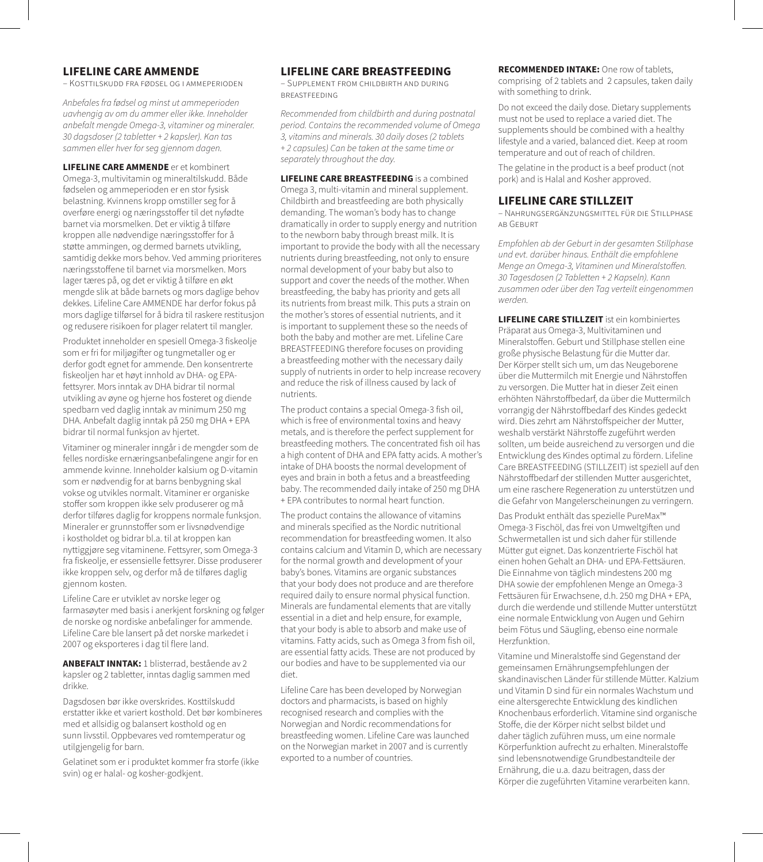## **LIFELINE CARE AMMENDE**

– Kosttilskudd fra fødsel og i ammeperioden

*Anbefales fra fødsel og minst ut ammeperioden uavhengig av om du ammer eller ikke. Inneholder anbefalt mengde Omega-3, vitaminer og mineraler. 30 dagsdoser (2 tabletter + 2 kapsler). Kan tas sammen eller hver for seg gjennom dagen.*

**LIFELINE CARE AMMENDE** er et kombinert Omega-3, multivitamin og mineraltilskudd. Både fødselen og ammeperioden er en stor fysisk belastning. Kvinnens kropp omstiller seg for å overføre energi og næringsstoffer til det nyfødte barnet via morsmelken. Det er viktig å tilføre kroppen alle nødvendige næringsstoffer for å støtte ammingen, og dermed barnets utvikling, samtidig dekke mors behov. Ved amming prioriteres næringsstoffene til barnet via morsmelken. Mors lager tæres på, og det er viktig å tilføre en økt mengde slik at både barnets og mors daglige behov dekkes. Lifeline Care AMMENDE har derfor fokus på mors daglige tilførsel for å bidra til raskere restitusjon og redusere risikoen for plager relatert til mangler.

Produktet inneholder en spesiell Omega-3 fiskeolje som er fri for miljøgifter og tungmetaller og er derfor godt egnet for ammende. Den konsentrerte fiskeoljen har et høyt innhold av DHA- og EPAfettsyrer. Mors inntak av DHA bidrar til normal utvikling av øyne og hjerne hos fosteret og diende spedbarn ved daglig inntak av minimum 250 mg DHA. Anbefalt daglig inntak på 250 mg DHA + EPA bidrar til normal funksjon av hjertet.

Vitaminer og mineraler inngår i de mengder som de felles nordiske ernæringsanbefalingene angir for en ammende kvinne. Inneholder kalsium og D-vitamin som er nødvendig for at barns benbygning skal vokse og utvikles normalt. Vitaminer er organiske stoffer som kroppen ikke selv produserer og må derfor tilføres daglig for kroppens normale funksjon. Mineraler er grunnstoffer som er livsnødvendige i kostholdet og bidrar bl.a. til at kroppen kan nyttiggjøre seg vitaminene. Fettsyrer, som Omega-3 fra fiskeolje, er essensielle fettsyrer. Disse produserer ikke kroppen selv, og derfor må de tilføres daglig gjennom kosten.

Lifeline Care er utviklet av norske leger og farmasøyter med basis i anerkjent forskning og følger de norske og nordiske anbefalinger for ammende. Lifeline Care ble lansert på det norske markedet i 2007 og eksporteres i dag til flere land.

**ANBEFALT INNTAK:** 1 blisterrad, bestående av 2 kapsler og 2 tabletter, inntas daglig sammen med drikke.

Dagsdosen bør ikke overskrides. Kosttilskudd erstatter ikke et variert kosthold. Det bør kombineres med et allsidig og balansert kosthold og en sunn livsstil. Oppbevares ved romtemperatur og utilgjengelig for barn.

Gelatinet som er i produktet kommer fra storfe (ikke svin) og er halal- og kosher-godkjent.

#### **LIFELINE CARE BREASTFEEDING**

– Supplement from childbirth and during breastfeeding

*Recommended from childbirth and during postnatal period. Contains the recommended volume of Omega 3, vitamins and minerals. 30 daily doses (2 tablets + 2 capsules) Can be taken at the same time or separately throughout the day.*

**LIFELINE CARE BREASTFEEDING** is a combined Omega 3, multi-vitamin and mineral supplement. Childbirth and breastfeeding are both physically demanding. The woman's body has to change dramatically in order to supply energy and nutrition to the newborn baby through breast milk. It is important to provide the body with all the necessary nutrients during breastfeeding, not only to ensure normal development of your baby but also to support and cover the needs of the mother. When breastfeeding, the baby has priority and gets all its nutrients from breast milk. This puts a strain on the mother's stores of essential nutrients, and it is important to supplement these so the needs of both the baby and mother are met. Lifeline Care BREASTFEEDING therefore focuses on providing a breastfeeding mother with the necessary daily supply of nutrients in order to help increase recovery and reduce the risk of illness caused by lack of nutrients.

The product contains a special Omega-3 fish oil, which is free of environmental toxins and heavy metals, and is therefore the perfect supplement for breastfeeding mothers. The concentrated fish oil has a high content of DHA and EPA fatty acids. A mother's intake of DHA boosts the normal development of eyes and brain in both a fetus and a breastfeeding baby. The recommended daily intake of 250 mg DHA + EPA contributes to normal heart function.

The product contains the allowance of vitamins and minerals specified as the Nordic nutritional recommendation for breastfeeding women. It also contains calcium and Vitamin D, which are necessary for the normal growth and development of your baby's bones. Vitamins are organic substances that your body does not produce and are therefore required daily to ensure normal physical function. Minerals are fundamental elements that are vitally essential in a diet and help ensure, for example, that your body is able to absorb and make use of vitamins. Fatty acids, such as Omega 3 from fish oil, are essential fatty acids. These are not produced by our bodies and have to be supplemented via our diet.

Lifeline Care has been developed by Norwegian doctors and pharmacists, is based on highly recognised research and complies with the Norwegian and Nordic recommendations for breastfeeding women. Lifeline Care was launched on the Norwegian market in 2007 and is currently exported to a number of countries.

**RECOMMENDED INTAKE:** One row of tablets, comprising of 2 tablets and 2 capsules, taken daily with something to drink.

Do not exceed the daily dose. Dietary supplements must not be used to replace a varied diet. The supplements should be combined with a healthy lifestyle and a varied, balanced diet. Keep at room temperature and out of reach of children.

The gelatine in the product is a beef product (not pork) and is Halal and Kosher approved.

#### **LIFELINE CARE STILLZEIT**

– Nahrungsergänzungsmittel für die Stillphase ab Geburt

*Empfohlen ab der Geburt in der gesamten Stillphase und evt. darüber hinaus. Enthält die empfohlene Menge an Omega-3, Vitaminen und Mineralstoffen. 30 Tagesdosen (2 Tabletten + 2 Kapseln). Kann zusammen oder über den Tag verteilt eingenommen werden.*

**LIFELINE CARE STILLZEIT** ist ein kombiniertes Präparat aus Omega-3, Multivitaminen und Mineralstoffen. Geburt und Stillphase stellen eine große physische Belastung für die Mutter dar. Der Körper stellt sich um, um das Neugeborene über die Muttermilch mit Energie und Nährstoffen zu versorgen. Die Mutter hat in dieser Zeit einen erhöhten Nährstoffbedarf, da über die Muttermilch vorrangig der Nährstoffbedarf des Kindes gedeckt wird. Dies zehrt am Nährstoffspeicher der Mutter, weshalb verstärkt Nährstoffe zugeführt werden sollten, um beide ausreichend zu versorgen und die Entwicklung des Kindes optimal zu fördern. Lifeline Care BREASTFEEDING (STILLZEIT) ist speziell auf den Nährstoffbedarf der stillenden Mutter ausgerichtet, um eine raschere Regeneration zu unterstützen und die Gefahr von Mangelerscheinungen zu verringern.

Das Produkt enthält das spezielle PureMax™ Omega-3 Fischöl, das frei von Umweltgiften und Schwermetallen ist und sich daher für stillende Mütter gut eignet. Das konzentrierte Fischöl hat einen hohen Gehalt an DHA- und EPA-Fettsäuren. Die Einnahme von täglich mindestens 200 mg DHA sowie der empfohlenen Menge an Omega-3 Fettsäuren für Erwachsene, d.h. 250 mg DHA + EPA, durch die werdende und stillende Mutter unterstützt eine normale Entwicklung von Augen und Gehirn beim Fötus und Säugling, ebenso eine normale Herzfunktion.

Vitamine und Mineralstoffe sind Gegenstand der gemeinsamen Ernährungsempfehlungen der skandinavischen Länder für stillende Mütter. Kalzium und Vitamin D sind für ein normales Wachstum und eine altersgerechte Entwicklung des kindlichen Knochenbaus erforderlich. Vitamine sind organische Stoffe, die der Körper nicht selbst bildet und daher täglich zuführen muss, um eine normale Körperfunktion aufrecht zu erhalten. Mineralstoffe sind lebensnotwendige Grundbestandteile der Ernährung, die u.a. dazu beitragen, dass der Körper die zugeführten Vitamine verarbeiten kann.